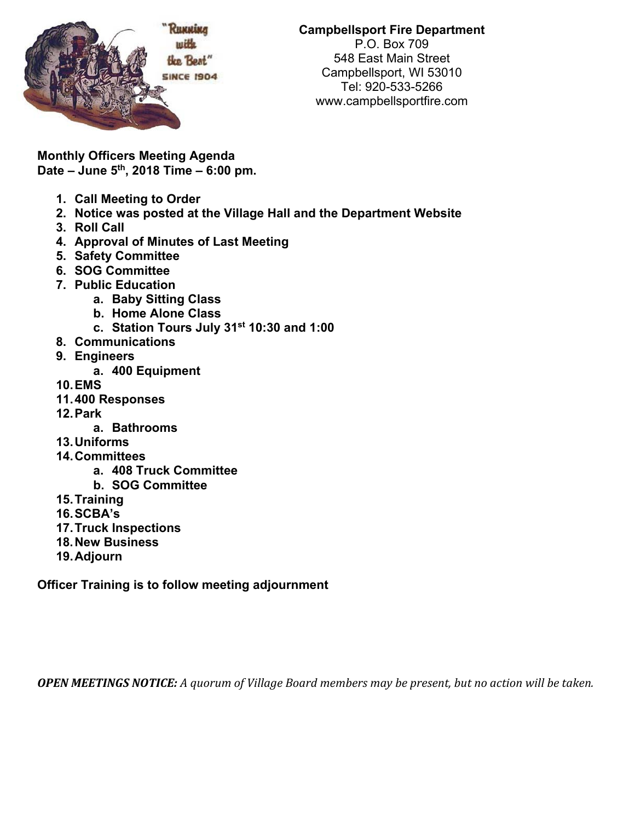

**Campbellsport Fire Department**  P.O. Box 709 548 East Main Street Campbellsport, WI 53010 Tel: 920-533-5266 www.campbellsportfire.com

**Monthly Officers Meeting Agenda Date – June 5th, 2018 Time – 6:00 pm.** 

- **1. Call Meeting to Order**
- **2. Notice was posted at the Village Hall and the Department Website**
- **3. Roll Call**
- **4. Approval of Minutes of Last Meeting**
- **5. Safety Committee**
- **6. SOG Committee**
- **7. Public Education** 
	- **a. Baby Sitting Class**
	- **b. Home Alone Class**
	- **c. Station Tours July 31st 10:30 and 1:00**
- **8. Communications**
- **9. Engineers** 
	- **a. 400 Equipment**
- **10. EMS**
- **11. 400 Responses**
- **12. Park** 
	- **a. Bathrooms**
- **13. Uniforms**
- **14. Committees** 
	- **a. 408 Truck Committee**
	- **b. SOG Committee**
- **15. Training**
- **16. SCBA's**
- **17. Truck Inspections**
- **18. New Business**
- **19. Adjourn**

**Officer Training is to follow meeting adjournment** 

**OPEN MEETINGS NOTICE:** A quorum of Village Board members may be present, but no action will be taken.